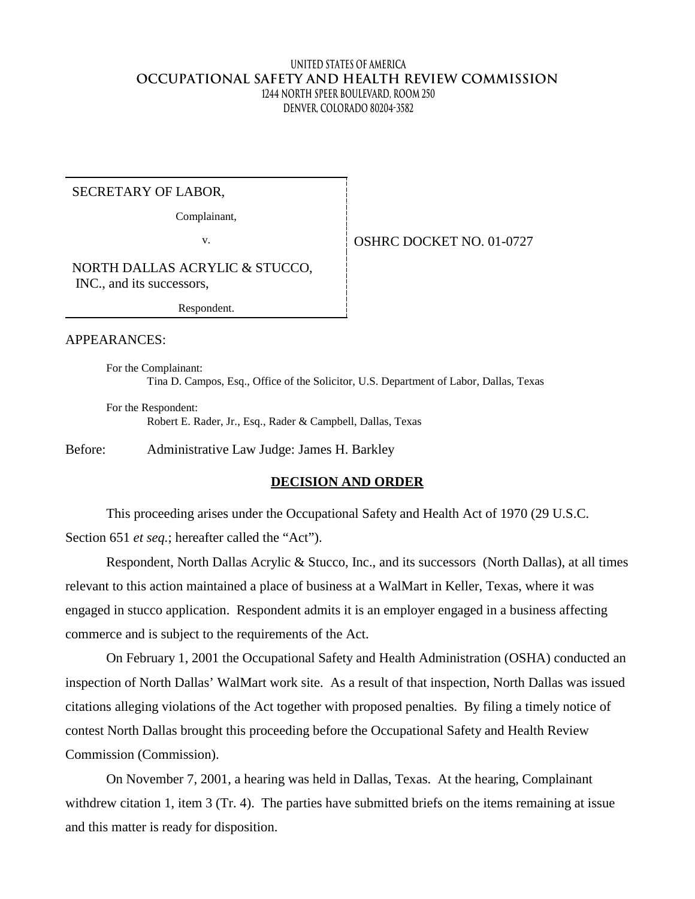## **United States of America OCCUPATIONAL SAFETY AND HEALTH REVIEW COMMISSION 1244 North Speer Boulevard, Room 250 Denver, Colorado 80204-3582**

#### SECRETARY OF LABOR,

Complainant,

v. **SEPTER SEPTER SERVICE DOCKET NO.** 01-0727

NORTH DALLAS ACRYLIC & STUCCO, INC., and its successors,

Respondent.

#### APPEARANCES:

For the Complainant: Tina D. Campos, Esq., Office of the Solicitor, U.S. Department of Labor, Dallas, Texas

For the Respondent: Robert E. Rader, Jr., Esq., Rader & Campbell, Dallas, Texas

Before: Administrative Law Judge: James H. Barkley

## **DECISION AND ORDER**

This proceeding arises under the Occupational Safety and Health Act of 1970 (29 U.S.C. Section 651 *et seq.*; hereafter called the "Act").

Respondent, North Dallas Acrylic & Stucco, Inc., and its successors (North Dallas), at all times relevant to this action maintained a place of business at a WalMart in Keller, Texas, where it was engaged in stucco application. Respondent admits it is an employer engaged in a business affecting commerce and is subject to the requirements of the Act.

On February 1, 2001 the Occupational Safety and Health Administration (OSHA) conducted an inspection of North Dallas' WalMart work site. As a result of that inspection, North Dallas was issued citations alleging violations of the Act together with proposed penalties. By filing a timely notice of contest North Dallas brought this proceeding before the Occupational Safety and Health Review Commission (Commission).

On November 7, 2001, a hearing was held in Dallas, Texas. At the hearing, Complainant withdrew citation 1, item 3 (Tr. 4). The parties have submitted briefs on the items remaining at issue and this matter is ready for disposition.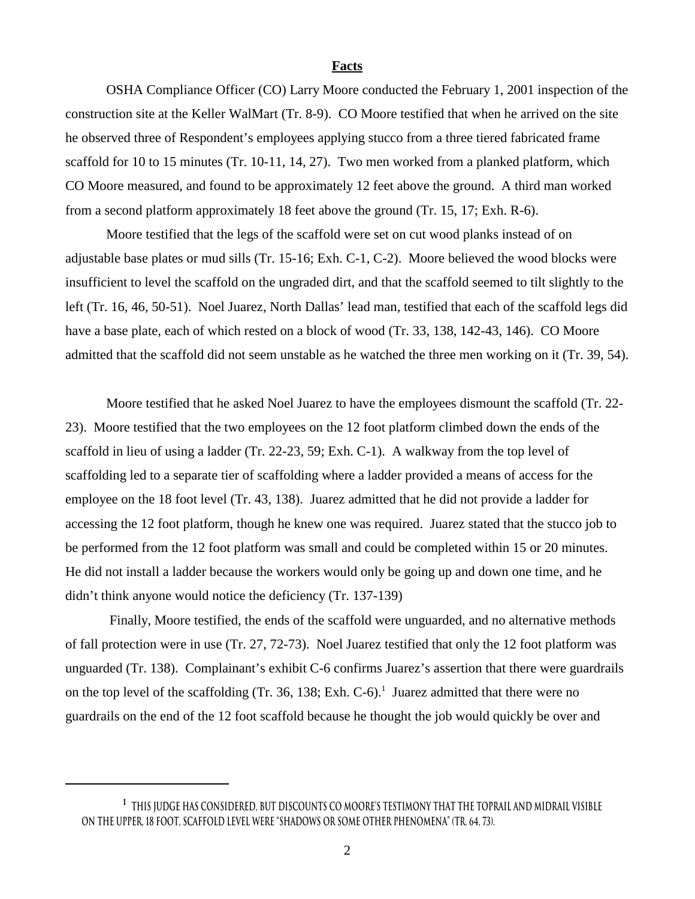#### **Facts**

OSHA Compliance Officer (CO) Larry Moore conducted the February 1, 2001 inspection of the construction site at the Keller WalMart (Tr. 8-9). CO Moore testified that when he arrived on the site he observed three of Respondent's employees applying stucco from a three tiered fabricated frame scaffold for 10 to 15 minutes (Tr. 10-11, 14, 27). Two men worked from a planked platform, which CO Moore measured, and found to be approximately 12 feet above the ground. A third man worked from a second platform approximately 18 feet above the ground (Tr. 15, 17; Exh. R-6).

Moore testified that the legs of the scaffold were set on cut wood planks instead of on adjustable base plates or mud sills (Tr. 15-16; Exh. C-1, C-2). Moore believed the wood blocks were insufficient to level the scaffold on the ungraded dirt, and that the scaffold seemed to tilt slightly to the left (Tr. 16, 46, 50-51). Noel Juarez, North Dallas' lead man, testified that each of the scaffold legs did have a base plate, each of which rested on a block of wood (Tr. 33, 138, 142-43, 146). CO Moore admitted that the scaffold did not seem unstable as he watched the three men working on it (Tr. 39, 54).

Moore testified that he asked Noel Juarez to have the employees dismount the scaffold (Tr. 22- 23). Moore testified that the two employees on the 12 foot platform climbed down the ends of the scaffold in lieu of using a ladder (Tr. 22-23, 59; Exh. C-1). A walkway from the top level of scaffolding led to a separate tier of scaffolding where a ladder provided a means of access for the employee on the 18 foot level (Tr. 43, 138). Juarez admitted that he did not provide a ladder for accessing the 12 foot platform, though he knew one was required. Juarez stated that the stucco job to be performed from the 12 foot platform was small and could be completed within 15 or 20 minutes. He did not install a ladder because the workers would only be going up and down one time, and he didn't think anyone would notice the deficiency (Tr. 137-139)

Finally, Moore testified, the ends of the scaffold were unguarded, and no alternative methods of fall protection were in use (Tr. 27, 72-73). Noel Juarez testified that only the 12 foot platform was unguarded (Tr. 138). Complainant's exhibit C-6 confirms Juarez's assertion that there were guardrails on the top level of the scaffolding (Tr. 36, 138; Exh. C-6).<sup>1</sup> Juarez admitted that there were no guardrails on the end of the 12 foot scaffold because he thought the job would quickly be over and

**<sup>1</sup> This judge has considered, but discounts CO Moore's testimony that the toprail and midrail visible on the upper, 18 foot, scaffold level were "shadows or some other phenomena" (Tr. 64, 73).**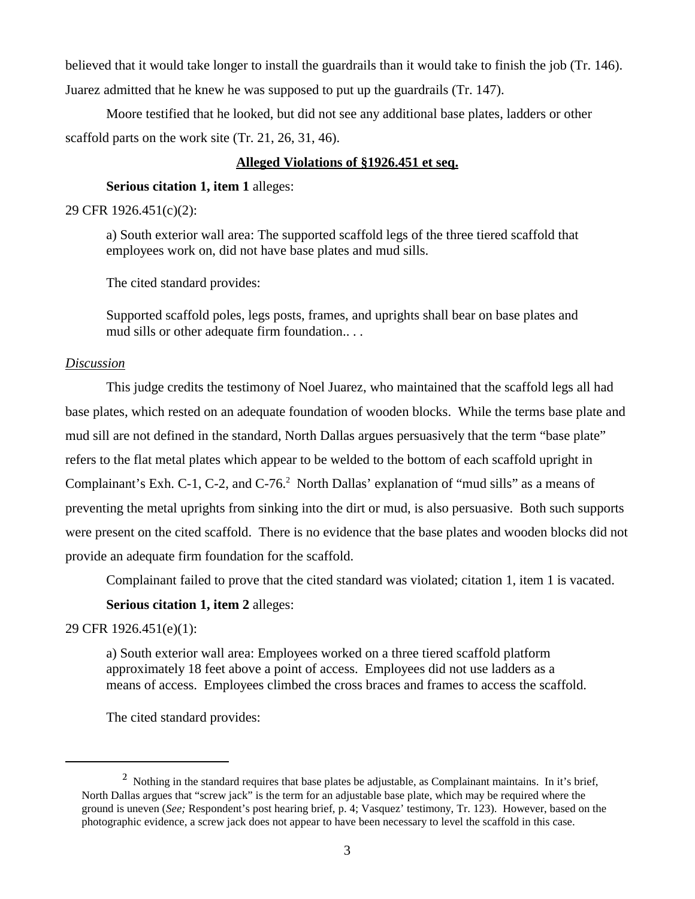believed that it would take longer to install the guardrails than it would take to finish the job (Tr. 146). Juarez admitted that he knew he was supposed to put up the guardrails (Tr. 147).

Moore testified that he looked, but did not see any additional base plates, ladders or other scaffold parts on the work site (Tr. 21, 26, 31, 46).

# **Alleged Violations of §1926.451 et seq.**

# **Serious citation 1, item 1** alleges:

## 29 CFR 1926.451(c)(2):

a) South exterior wall area: The supported scaffold legs of the three tiered scaffold that employees work on, did not have base plates and mud sills.

The cited standard provides:

Supported scaffold poles, legs posts, frames, and uprights shall bear on base plates and mud sills or other adequate firm foundation.. . .

## *Discussion*

This judge credits the testimony of Noel Juarez, who maintained that the scaffold legs all had base plates, which rested on an adequate foundation of wooden blocks. While the terms base plate and mud sill are not defined in the standard, North Dallas argues persuasively that the term "base plate" refers to the flat metal plates which appear to be welded to the bottom of each scaffold upright in Complainant's Exh. C-1, C-2, and C-76.<sup>2</sup> North Dallas' explanation of "mud sills" as a means of preventing the metal uprights from sinking into the dirt or mud, is also persuasive. Both such supports were present on the cited scaffold. There is no evidence that the base plates and wooden blocks did not provide an adequate firm foundation for the scaffold.

Complainant failed to prove that the cited standard was violated; citation 1, item 1 is vacated.

# **Serious citation 1, item 2** alleges:

## 29 CFR 1926.451(e)(1):

a) South exterior wall area: Employees worked on a three tiered scaffold platform approximately 18 feet above a point of access. Employees did not use ladders as a means of access. Employees climbed the cross braces and frames to access the scaffold.

The cited standard provides:

<sup>&</sup>lt;sup>2</sup> Nothing in the standard requires that base plates be adjustable, as Complainant maintains. In it's brief, North Dallas argues that "screw jack" is the term for an adjustable base plate, which may be required where the ground is uneven (*See;* Respondent's post hearing brief, p. 4; Vasquez' testimony, Tr. 123). However, based on the photographic evidence, a screw jack does not appear to have been necessary to level the scaffold in this case.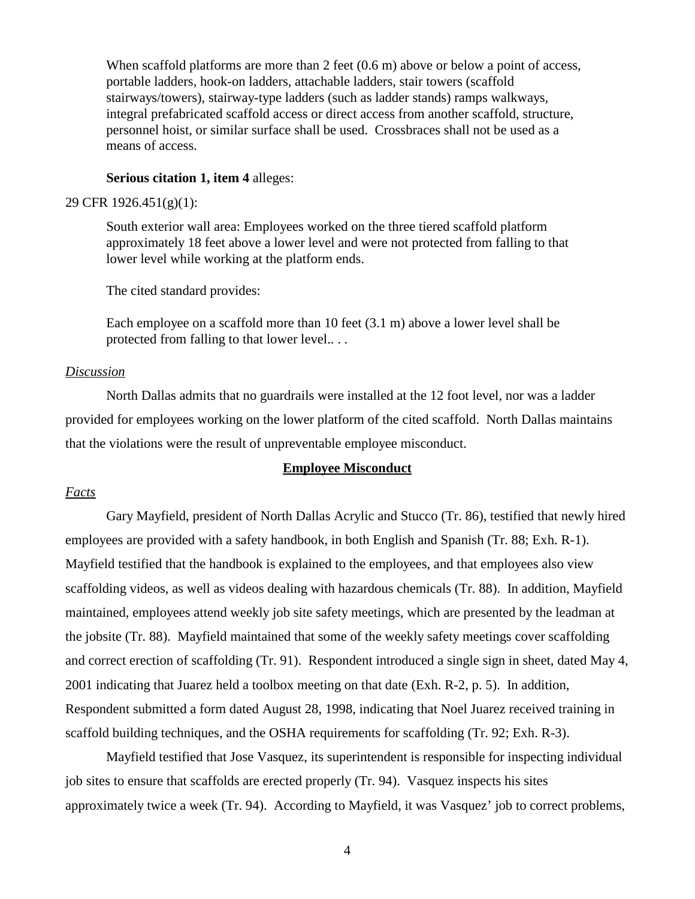When scaffold platforms are more than 2 feet (0.6 m) above or below a point of access, portable ladders, hook-on ladders, attachable ladders, stair towers (scaffold stairways/towers), stairway-type ladders (such as ladder stands) ramps walkways, integral prefabricated scaffold access or direct access from another scaffold, structure, personnel hoist, or similar surface shall be used. Crossbraces shall not be used as a means of access.

#### **Serious citation 1, item 4** alleges:

## 29 CFR 1926.451(g)(1):

South exterior wall area: Employees worked on the three tiered scaffold platform approximately 18 feet above a lower level and were not protected from falling to that lower level while working at the platform ends.

The cited standard provides:

Each employee on a scaffold more than 10 feet (3.1 m) above a lower level shall be protected from falling to that lower level.. . .

#### *Discussion*

North Dallas admits that no guardrails were installed at the 12 foot level, nor was a ladder provided for employees working on the lower platform of the cited scaffold. North Dallas maintains that the violations were the result of unpreventable employee misconduct.

# **Employee Misconduct**

#### *Facts*

Gary Mayfield, president of North Dallas Acrylic and Stucco (Tr. 86), testified that newly hired employees are provided with a safety handbook, in both English and Spanish (Tr. 88; Exh. R-1). Mayfield testified that the handbook is explained to the employees, and that employees also view scaffolding videos, as well as videos dealing with hazardous chemicals (Tr. 88). In addition, Mayfield maintained, employees attend weekly job site safety meetings, which are presented by the leadman at the jobsite (Tr. 88). Mayfield maintained that some of the weekly safety meetings cover scaffolding and correct erection of scaffolding (Tr. 91). Respondent introduced a single sign in sheet, dated May 4, 2001 indicating that Juarez held a toolbox meeting on that date (Exh. R-2, p. 5). In addition, Respondent submitted a form dated August 28, 1998, indicating that Noel Juarez received training in scaffold building techniques, and the OSHA requirements for scaffolding (Tr. 92; Exh. R-3).

Mayfield testified that Jose Vasquez, its superintendent is responsible for inspecting individual job sites to ensure that scaffolds are erected properly (Tr. 94). Vasquez inspects his sites approximately twice a week (Tr. 94). According to Mayfield, it was Vasquez' job to correct problems,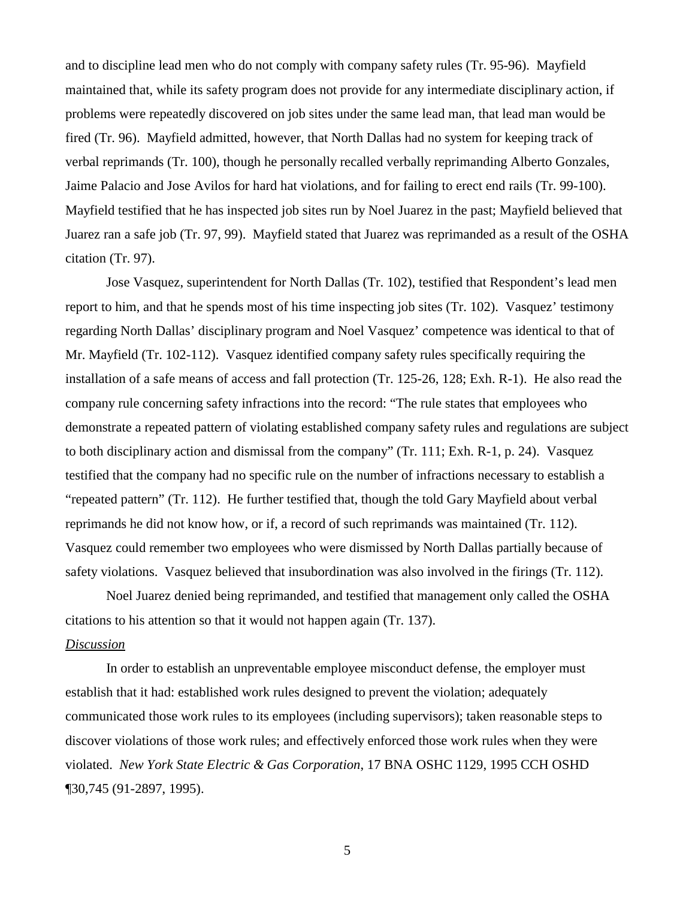and to discipline lead men who do not comply with company safety rules (Tr. 95-96). Mayfield maintained that, while its safety program does not provide for any intermediate disciplinary action, if problems were repeatedly discovered on job sites under the same lead man, that lead man would be fired (Tr. 96). Mayfield admitted, however, that North Dallas had no system for keeping track of verbal reprimands (Tr. 100), though he personally recalled verbally reprimanding Alberto Gonzales, Jaime Palacio and Jose Avilos for hard hat violations, and for failing to erect end rails (Tr. 99-100). Mayfield testified that he has inspected job sites run by Noel Juarez in the past; Mayfield believed that Juarez ran a safe job (Tr. 97, 99). Mayfield stated that Juarez was reprimanded as a result of the OSHA citation (Tr. 97).

Jose Vasquez, superintendent for North Dallas (Tr. 102), testified that Respondent's lead men report to him, and that he spends most of his time inspecting job sites (Tr. 102). Vasquez' testimony regarding North Dallas' disciplinary program and Noel Vasquez' competence was identical to that of Mr. Mayfield (Tr. 102-112). Vasquez identified company safety rules specifically requiring the installation of a safe means of access and fall protection (Tr. 125-26, 128; Exh. R-1). He also read the company rule concerning safety infractions into the record: "The rule states that employees who demonstrate a repeated pattern of violating established company safety rules and regulations are subject to both disciplinary action and dismissal from the company" (Tr. 111; Exh. R-1, p. 24). Vasquez testified that the company had no specific rule on the number of infractions necessary to establish a "repeated pattern" (Tr. 112). He further testified that, though the told Gary Mayfield about verbal reprimands he did not know how, or if, a record of such reprimands was maintained (Tr. 112). Vasquez could remember two employees who were dismissed by North Dallas partially because of safety violations. Vasquez believed that insubordination was also involved in the firings (Tr. 112).

Noel Juarez denied being reprimanded, and testified that management only called the OSHA citations to his attention so that it would not happen again (Tr. 137).

## *Discussion*

In order to establish an unpreventable employee misconduct defense, the employer must establish that it had: established work rules designed to prevent the violation; adequately communicated those work rules to its employees (including supervisors); taken reasonable steps to discover violations of those work rules; and effectively enforced those work rules when they were violated. *New York State Electric & Gas Corporation*, 17 BNA OSHC 1129, 1995 CCH OSHD ¶30,745 (91-2897, 1995).

5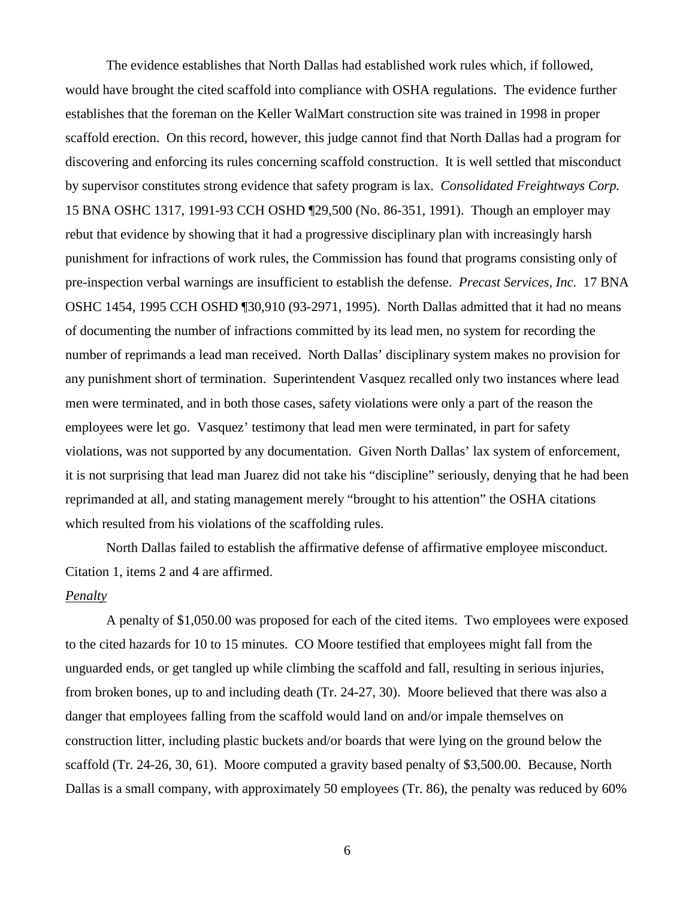The evidence establishes that North Dallas had established work rules which, if followed, would have brought the cited scaffold into compliance with OSHA regulations. The evidence further establishes that the foreman on the Keller WalMart construction site was trained in 1998 in proper scaffold erection. On this record, however, this judge cannot find that North Dallas had a program for discovering and enforcing its rules concerning scaffold construction. It is well settled that misconduct by supervisor constitutes strong evidence that safety program is lax. *Consolidated Freightways Corp.*  15 BNA OSHC 1317, 1991-93 CCH OSHD ¶29,500 (No. 86-351, 1991). Though an employer may rebut that evidence by showing that it had a progressive disciplinary plan with increasingly harsh punishment for infractions of work rules, the Commission has found that programs consisting only of pre-inspection verbal warnings are insufficient to establish the defense. *Precast Services, Inc.* 17 BNA OSHC 1454, 1995 CCH OSHD ¶30,910 (93-2971, 1995). North Dallas admitted that it had no means of documenting the number of infractions committed by its lead men, no system for recording the number of reprimands a lead man received. North Dallas' disciplinary system makes no provision for any punishment short of termination. Superintendent Vasquez recalled only two instances where lead men were terminated, and in both those cases, safety violations were only a part of the reason the employees were let go. Vasquez' testimony that lead men were terminated, in part for safety violations, was not supported by any documentation. Given North Dallas' lax system of enforcement, it is not surprising that lead man Juarez did not take his "discipline" seriously, denying that he had been reprimanded at all, and stating management merely "brought to his attention" the OSHA citations which resulted from his violations of the scaffolding rules.

North Dallas failed to establish the affirmative defense of affirmative employee misconduct. Citation 1, items 2 and 4 are affirmed.

#### *Penalty*

A penalty of \$1,050.00 was proposed for each of the cited items. Two employees were exposed to the cited hazards for 10 to 15 minutes. CO Moore testified that employees might fall from the unguarded ends, or get tangled up while climbing the scaffold and fall, resulting in serious injuries, from broken bones, up to and including death (Tr. 24-27, 30). Moore believed that there was also a danger that employees falling from the scaffold would land on and/or impale themselves on construction litter, including plastic buckets and/or boards that were lying on the ground below the scaffold (Tr. 24-26, 30, 61). Moore computed a gravity based penalty of \$3,500.00. Because, North Dallas is a small company, with approximately 50 employees (Tr. 86), the penalty was reduced by 60%

6